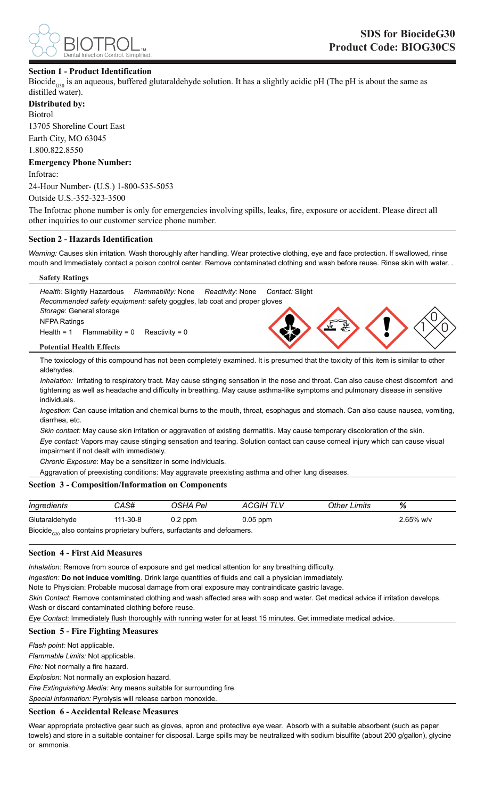

# **Section 1 - Product Identification**

Biocide<sub>G30</sub> is an aqueous, buffered glutaraldehyde solution. It has a slightly acidic pH (The pH is about the same as distilled water).

**Distributed by:** Biotrol 13705 Shoreline Court East

Earth City, MO 63045

1.800.822.8550

**Emergency Phone Number:** Infotrac:

24-Hour Number- (U.S.) 1-800-535-5053

Outside U.S.-352-323-3500

The Infotrac phone number is only for emergencies involving spills, leaks, fire, exposure or accident. Please direct all other inquiries to our customer service phone number.

### **Section 2 - Hazards Identification**

*Warning:* Causes skin irritation. Wash thoroughly after handling. Wear protective clothing, eye and face protection. If swallowed, rinse mouth and Immediately contact a poison control center. Remove contaminated clothing and wash before reuse. Rinse skin with water. .

#### **Safety Ratings**



The toxicology of this compound has not been completely examined. It is presumed that the toxicity of this item is similar to other aldehydes.

*Inhalation:* Irritating to respiratory tract. May cause stinging sensation in the nose and throat. Can also cause chest discomfort and tightening as well as headache and difficulty in breathing. May cause asthma-like symptoms and pulmonary disease in sensitive individuals.

*Ingestion*: Can cause irritation and chemical burns to the mouth, throat, esophagus and stomach. Can also cause nausea, vomiting, diarrhea, etc.

*Skin contact:* May cause skin irritation or aggravation of existing dermatitis. May cause temporary discoloration of the skin. *Eye contact:* Vapors may cause stinging sensation and tearing. Solution contact can cause corneal injury which can cause visual impairment if not dealt with immediately.

*Chronic Exposure*: May be a sensitizer in some individuals.

Aggravation of preexisting conditions: May aggravate preexisting asthma and other lung diseases.

# **Section 3 - Composition/Information on Components**

| Ingredients                                                                          | CAS#     | OSHA Pel  | ACGIH TLV  | Other Limits | %            |  |
|--------------------------------------------------------------------------------------|----------|-----------|------------|--------------|--------------|--|
| Glutaraldehyde                                                                       | 111-30-8 | $0.2$ ppm | $0.05$ ppm |              | $2.65\%$ w/v |  |
| Biocide <sub>cso</sub> also contains proprietary buffers, surfactants and defoamers. |          |           |            |              |              |  |

# **Section 4 - First Aid Measures**

*Inhalation:* Remove from source of exposure and get medical attention for any breathing difficulty.

*Ingestion:* **Do not induce vomiting**. Drink large quantities of fluids and call a physician immediately.

Note to Physician: Probable mucosal damage from oral exposure may contraindicate gastric lavage.

*Skin Contact*: Remove contaminated clothing and wash affected area with soap and water. Get medical advice if irritation develops. Wash or discard contaminated clothing before reuse.

*Eye Contact:* Immediately flush thoroughly with running water for at least 15 minutes. Get immediate medical advice.

### **Section 5 - Fire Fighting Measures**

*Flash point:* Not applicable.

*Flammable Limits:* Not applicable.

*Fire:* Not normally a fire hazard.

*Explosion:* Not normally an explosion hazard.

*Fire Extinguishing Media:* Any means suitable for surrounding fire.

*Special information:* Pyrolysis will release carbon monoxide.

#### **Section 6 - Accidental Release Measures**

Wear appropriate protective gear such as gloves, apron and protective eye wear. Absorb with a suitable absorbent (such as paper towels) and store in a suitable container for disposal. Large spills may be neutralized with sodium bisulfite (about 200 g/gallon), glycine or ammonia.